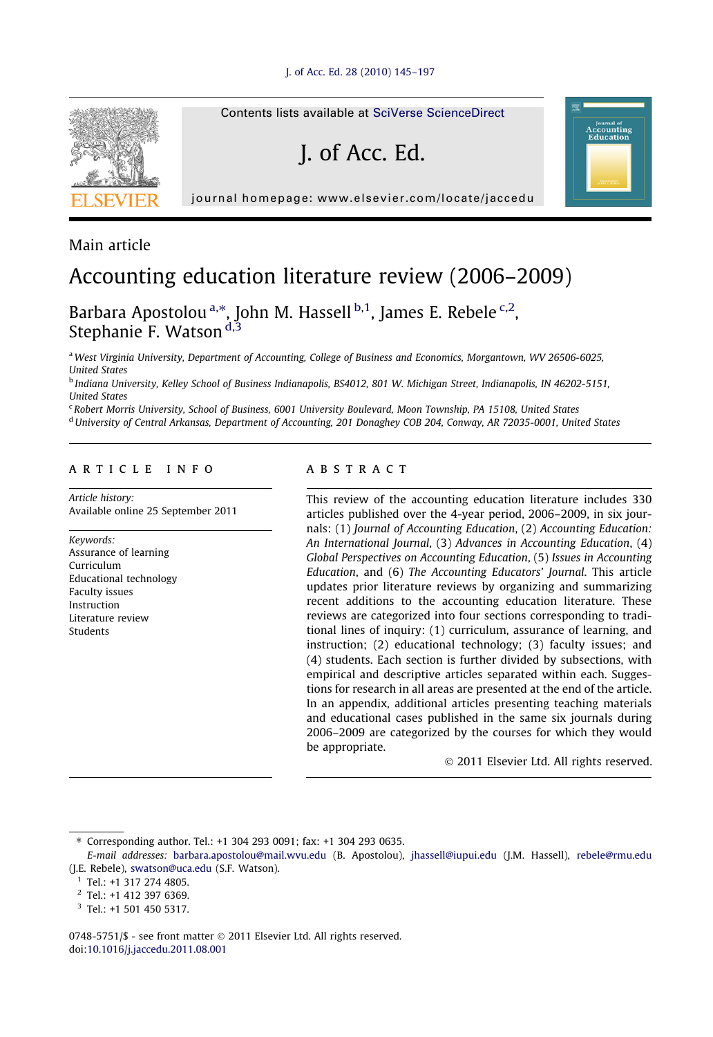

Main article

## Accounting education literature review (2006–2009)

Barbara Apostolou<sup>a,\*</sup>, John M. Hassell <sup>b,1</sup>, James E. Rebele <sup>c,2</sup>, Stephanie F. Watson<sup>d,3</sup>

<sup>a</sup> West Virginia University, Department of Accounting, College of Business and Economics, Morgantown, WV 26506-6025, United States

<sup>b</sup> Indiana University, Kelley School of Business Indianapolis, BS4012, 801 W. Michigan Street, Indianapolis, IN 46202-5151, United States

<sup>c</sup> Robert Morris University, School of Business, 6001 University Boulevard, Moon Township, PA 15108, United States

<sup>d</sup> University of Central Arkansas, Department of Accounting, 201 Donaghey COB 204, Conway, AR 72035-0001, United States

### article info

Article history: Available online 25 September 2011

Keywords: Assurance of learning Curriculum Educational technology Faculty issues Instruction Literature review Students

#### ABSTRACT

This review of the accounting education literature includes 330 articles published over the 4-year period, 2006–2009, in six journals: (1) Journal of Accounting Education, (2) Accounting Education: An International Journal, (3) Advances in Accounting Education, (4) Global Perspectives on Accounting Education, (5) Issues in Accounting Education, and (6) The Accounting Educators' Journal. This article updates prior literature reviews by organizing and summarizing recent additions to the accounting education literature. These reviews are categorized into four sections corresponding to traditional lines of inquiry: (1) curriculum, assurance of learning, and instruction; (2) educational technology; (3) faculty issues; and (4) students. Each section is further divided by subsections, with empirical and descriptive articles separated within each. Suggestions for research in all areas are presented at the end of the article. In an appendix, additional articles presenting teaching materials and educational cases published in the same six journals during 2006–2009 are categorized by the courses for which they would be appropriate.

- 2011 Elsevier Ltd. All rights reserved.

Journal of<br>CCOUNting<br>'ducation

⇑ Corresponding author. Tel.: +1 304 293 0091; fax: +1 304 293 0635.

0748-5751/\$ - see front matter © 2011 Elsevier Ltd. All rights reserved. doi[:10.1016/j.jaccedu.2011.08.001](http://dx.doi.org/10.1016/j.jaccedu.2011.08.001)

E-mail addresses: [barbara.apostolou@mail.wvu.edu](mailto:barbara.apostolou@mail.wvu.edu) (B. Apostolou), [jhassell@iupui.edu](mailto:jhassell@iupui.edu) (J.M. Hassell), [rebele@rmu.edu](mailto:rebele@rmu.edu) (J.E. Rebele), [swatson@uca.edu](mailto:swatson@uca.edu) (S.F. Watson).

 $1$  Tel.: +1 317 274 4805.

<sup>2</sup> Tel.: +1 412 397 6369.

<sup>3</sup> Tel.: +1 501 450 5317.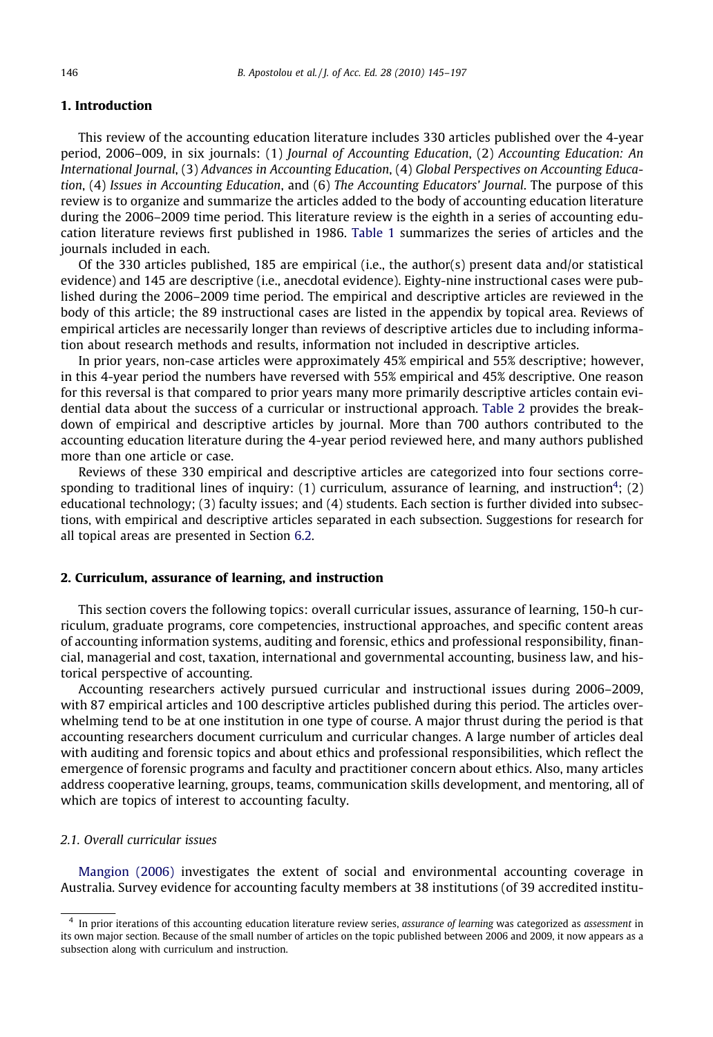#### 1. Introduction

This review of the accounting education literature includes 330 articles published over the 4-year period, 2006–009, in six journals: (1) Journal of Accounting Education, (2) Accounting Education: An International Journal, (3) Advances in Accounting Education, (4) Global Perspectives on Accounting Education, (4) Issues in Accounting Education, and (6) The Accounting Educators' Journal. The purpose of this review is to organize and summarize the articles added to the body of accounting education literature during the 2006–2009 time period. This literature review is the eighth in a series of accounting education literature reviews first published in 1986. [Table 1](#page--1-0) summarizes the series of articles and the journals included in each.

Of the 330 articles published, 185 are empirical (i.e., the author(s) present data and/or statistical evidence) and 145 are descriptive (i.e., anecdotal evidence). Eighty-nine instructional cases were published during the 2006–2009 time period. The empirical and descriptive articles are reviewed in the body of this article; the 89 instructional cases are listed in the appendix by topical area. Reviews of empirical articles are necessarily longer than reviews of descriptive articles due to including information about research methods and results, information not included in descriptive articles.

In prior years, non-case articles were approximately 45% empirical and 55% descriptive; however, in this 4-year period the numbers have reversed with 55% empirical and 45% descriptive. One reason for this reversal is that compared to prior years many more primarily descriptive articles contain evidential data about the success of a curricular or instructional approach. [Table 2](#page--1-0) provides the breakdown of empirical and descriptive articles by journal. More than 700 authors contributed to the accounting education literature during the 4-year period reviewed here, and many authors published more than one article or case.

Reviews of these 330 empirical and descriptive articles are categorized into four sections corresponding to traditional lines of inquiry:  $(1)$  curriculum, assurance of learning, and instruction<sup>4</sup>;  $(2)$ educational technology; (3) faculty issues; and (4) students. Each section is further divided into subsections, with empirical and descriptive articles separated in each subsection. Suggestions for research for all topical areas are presented in Section 6.2.

#### 2. Curriculum, assurance of learning, and instruction

This section covers the following topics: overall curricular issues, assurance of learning, 150-h curriculum, graduate programs, core competencies, instructional approaches, and specific content areas of accounting information systems, auditing and forensic, ethics and professional responsibility, financial, managerial and cost, taxation, international and governmental accounting, business law, and historical perspective of accounting.

Accounting researchers actively pursued curricular and instructional issues during 2006–2009, with 87 empirical articles and 100 descriptive articles published during this period. The articles overwhelming tend to be at one institution in one type of course. A major thrust during the period is that accounting researchers document curriculum and curricular changes. A large number of articles deal with auditing and forensic topics and about ethics and professional responsibilities, which reflect the emergence of forensic programs and faculty and practitioner concern about ethics. Also, many articles address cooperative learning, groups, teams, communication skills development, and mentoring, all of which are topics of interest to accounting faculty.

#### 2.1. Overall curricular issues

[Mangion \(2006\)](#page--1-0) investigates the extent of social and environmental accounting coverage in Australia. Survey evidence for accounting faculty members at 38 institutions (of 39 accredited institu-

 $4\,$  In prior iterations of this accounting education literature review series, assurance of learning was categorized as assessment in its own major section. Because of the small number of articles on the topic published between 2006 and 2009, it now appears as a subsection along with curriculum and instruction.